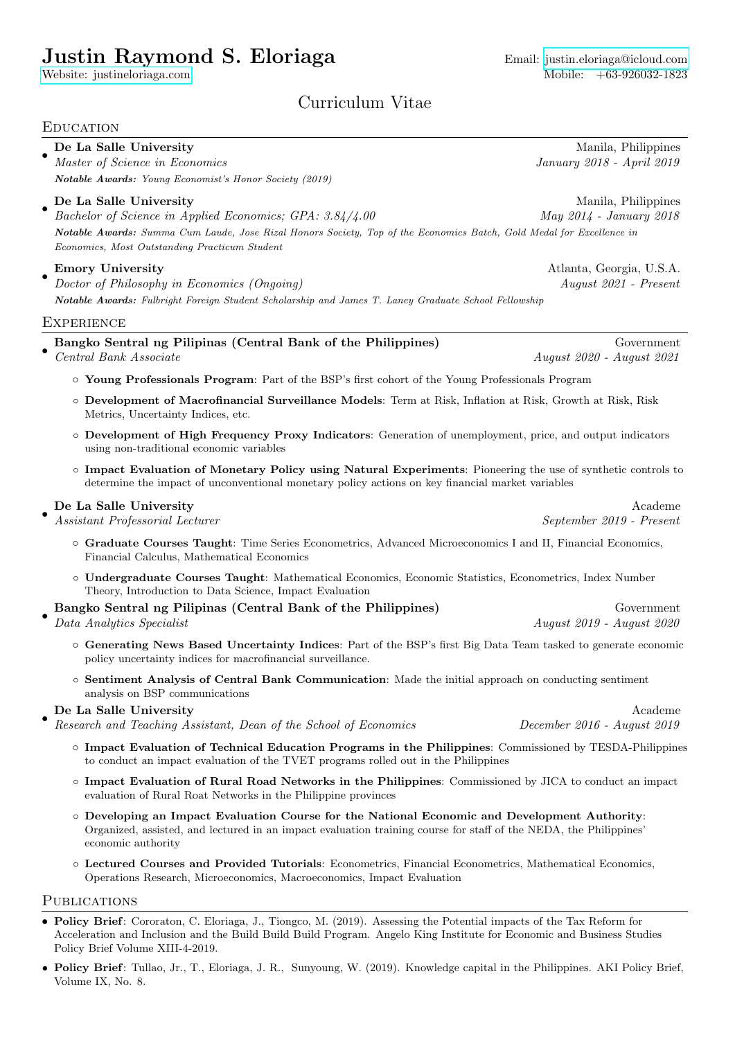# Justin Raymond S. Eloriaga Email: [justin.eloriaga@icloud.com](mailto:justin.eloriaga@icloud.com)

[Website: justineloriaga.com](https://justineloriaga.com)  $\,$ 

# Curriculum Vitae

#### **EDUCATION** • **De La Salle University** Manila, Philippines Manila, Philippines Manila, Philippines Master of Science in Economics January 2018 - April 2019 Notable Awards: Young Economist's Honor Society (2019) • **De La Salle University** Manila, Philippines Manila, Philippines Manila, Philippines Bachelor of Science in Applied Economics; GPA: 3.84/4.00 May 2014 - January 2018 Notable Awards: Summa Cum Laude, Jose Rizal Honors Society, Top of the Economics Batch, Gold Medal for Excellence in Economics, Most Outstanding Practicum Student • Emory University Atlanta, Georgia, U.S.A. Doctor of Philosophy in Economics (Ongoing) August 2021 - Present Notable Awards: Fulbright Foreign Student Scholarship and James T. Laney Graduate School Fellowship **EXPERIENCE** • Bangko Sentral ng Pilipinas (Central Bank of the Philippines) Government Central Bank Associate August 2020 - August 2021 ◦ Young Professionals Program: Part of the BSP's first cohort of the Young Professionals Program ◦ Development of Macrofinancial Surveillance Models: Term at Risk, Inflation at Risk, Growth at Risk, Risk Metrics, Uncertainty Indices, etc. ◦ Development of High Frequency Proxy Indicators: Generation of unemployment, price, and output indicators using non-traditional economic variables ◦ Impact Evaluation of Monetary Policy using Natural Experiments: Pioneering the use of synthetic controls to determine the impact of unconventional monetary policy actions on key financial market variables • De La Salle University Academe Assistant Professorial Lecturer September 2019 - Present ◦ Graduate Courses Taught: Time Series Econometrics, Advanced Microeconomics I and II, Financial Economics, Financial Calculus, Mathematical Economics ◦ Undergraduate Courses Taught: Mathematical Economics, Economic Statistics, Econometrics, Index Number Theory, Introduction to Data Science, Impact Evaluation • Bangko Sentral ng Pilipinas (Central Bank of the Philippines) Government Data Analytics Specialist August 2019 - August 2020 ◦ Generating News Based Uncertainty Indices: Part of the BSP's first Big Data Team tasked to generate economic policy uncertainty indices for macrofinancial surveillance. ◦ Sentiment Analysis of Central Bank Communication: Made the initial approach on conducting sentiment analysis on BSP communications • De La Salle University Academe Research and Teaching Assistant, Dean of the School of Economics December 2016 - August 2019 ◦ Impact Evaluation of Technical Education Programs in the Philippines: Commissioned by TESDA-Philippines to conduct an impact evaluation of the TVET programs rolled out in the Philippines ◦ Impact Evaluation of Rural Road Networks in the Philippines: Commissioned by JICA to conduct an impact evaluation of Rural Roat Networks in the Philippine provinces

- Developing an Impact Evaluation Course for the National Economic and Development Authority: Organized, assisted, and lectured in an impact evaluation training course for staff of the NEDA, the Philippines' economic authority
- Lectured Courses and Provided Tutorials: Econometrics, Financial Econometrics, Mathematical Economics, Operations Research, Microeconomics, Macroeconomics, Impact Evaluation

#### PUBLICATIONS

- Policy Brief: Cororaton, C. Eloriaga, J., Tiongco, M. (2019). Assessing the Potential impacts of the Tax Reform for Acceleration and Inclusion and the Build Build Build Program. Angelo King Institute for Economic and Business Studies Policy Brief Volume XIII-4-2019.
- Policy Brief: Tullao, Jr., T., Eloriaga, J. R., Sunyoung, W. (2019). Knowledge capital in the Philippines. AKI Policy Brief, Volume IX, No. 8.